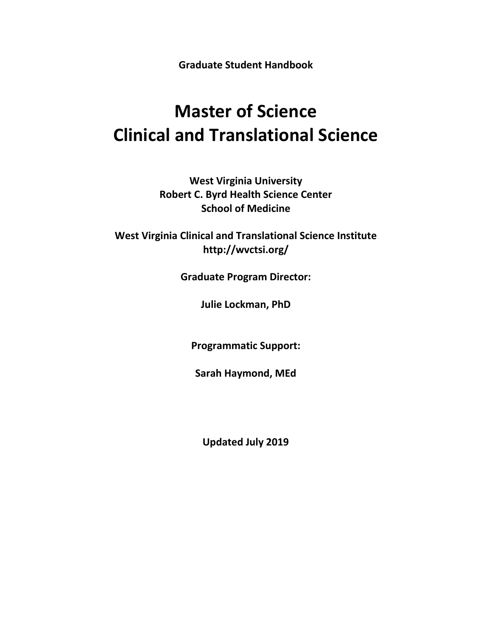**Graduate Student Handbook**

# **Master of Science Clinical and Translational Science**

**West Virginia University Robert C. Byrd Health Science Center School of Medicine**

**West Virginia Clinical and Translational Science Institute http://wvctsi.org/**

**Graduate Program Director:**

**Julie Lockman, PhD**

**Programmatic Support:**

**Sarah Haymond, MEd**

**Updated July 2019**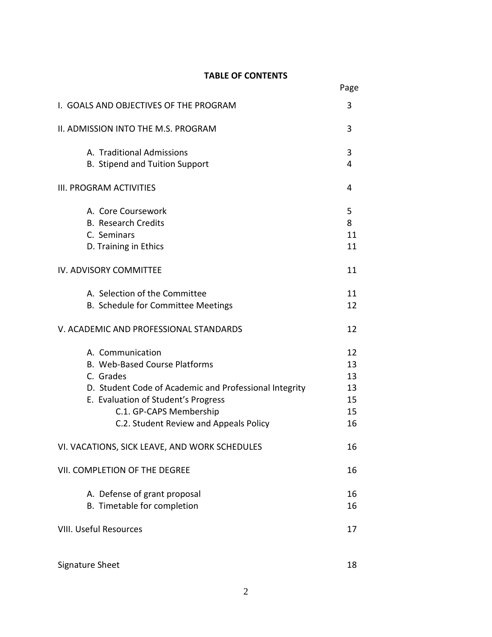## **TABLE OF CONTENTS**

|                                                        | Page |
|--------------------------------------------------------|------|
| I. GOALS AND OBJECTIVES OF THE PROGRAM                 | 3    |
| II. ADMISSION INTO THE M.S. PROGRAM                    | 3    |
| A. Traditional Admissions                              | 3    |
| B. Stipend and Tuition Support                         | 4    |
| III. PROGRAM ACTIVITIES                                | 4    |
| A. Core Coursework                                     | 5    |
| <b>B.</b> Research Credits                             | 8    |
| C. Seminars                                            | 11   |
| D. Training in Ethics                                  | 11   |
| IV. ADVISORY COMMITTEE                                 | 11   |
| A. Selection of the Committee                          | 11   |
| B. Schedule for Committee Meetings                     | 12   |
| V. ACADEMIC AND PROFESSIONAL STANDARDS                 | 12   |
| A. Communication                                       | 12   |
| B. Web-Based Course Platforms                          | 13   |
| C. Grades                                              | 13   |
| D. Student Code of Academic and Professional Integrity | 13   |
| E. Evaluation of Student's Progress                    | 15   |
| C.1. GP-CAPS Membership                                | 15   |
| C.2. Student Review and Appeals Policy                 | 16   |
| VI. VACATIONS, SICK LEAVE, AND WORK SCHEDULES          | 16   |
| VII. COMPLETION OF THE DEGREE                          | 16   |
| A. Defense of grant proposal                           | 16   |
| B. Timetable for completion                            | 16   |
| <b>VIII. Useful Resources</b>                          | 17   |
|                                                        |      |
| Signature Sheet                                        | 18   |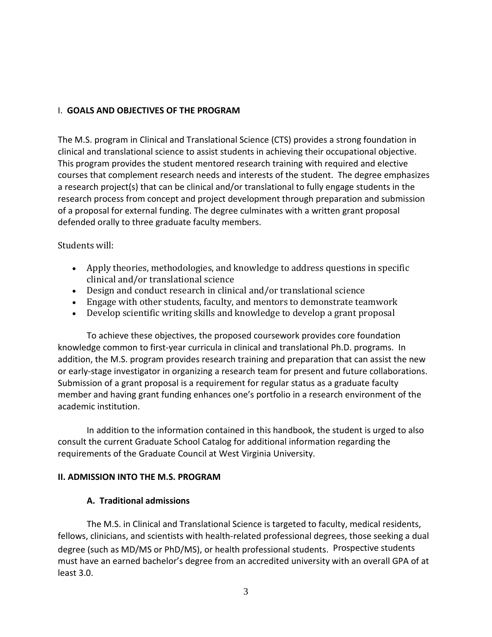#### I. **GOALS AND OBJECTIVES OF THE PROGRAM**

The M.S. program in Clinical and Translational Science (CTS) provides a strong foundation in clinical and translational science to assist students in achieving their occupational objective. This program provides the student mentored research training with required and elective courses that complement research needs and interests of the student. The degree emphasizes a research project(s) that can be clinical and/or translational to fully engage students in the research process from concept and project development through preparation and submission of a proposal for external funding. The degree culminates with a written grant proposal defended orally to three graduate faculty members.

#### Students will:

- Apply theories, methodologies, and knowledge to address questions in specific clinical and/or translational science
- Design and conduct research in clinical and/or translational science
- Engage with other students, faculty, and mentors to demonstrate teamwork
- Develop scientific writing skills and knowledge to develop a grant proposal

To achieve these objectives, the proposed coursework provides core foundation knowledge common to first-year curricula in clinical and translational Ph.D. programs. In addition, the M.S. program provides research training and preparation that can assist the new or early-stage investigator in organizing a research team for present and future collaborations. Submission of a grant proposal is a requirement for regular status as a graduate faculty member and having grant funding enhances one's portfolio in a research environment of the academic institution.

In addition to the information contained in this handbook, the student is urged to also consult the current Graduate School Catalog for additional information regarding the requirements of the Graduate Council at West Virginia University.

## **II. ADMISSION INTO THE M.S. PROGRAM**

#### **A. Traditional admissions**

The M.S. in Clinical and Translational Science is targeted to faculty, medical residents, fellows, clinicians, and scientists with health-related professional degrees, those seeking a dual degree (such as MD/MS or PhD/MS), or health professional students. Prospective students must have an earned bachelor's degree from an accredited university with an overall GPA of at least 3.0.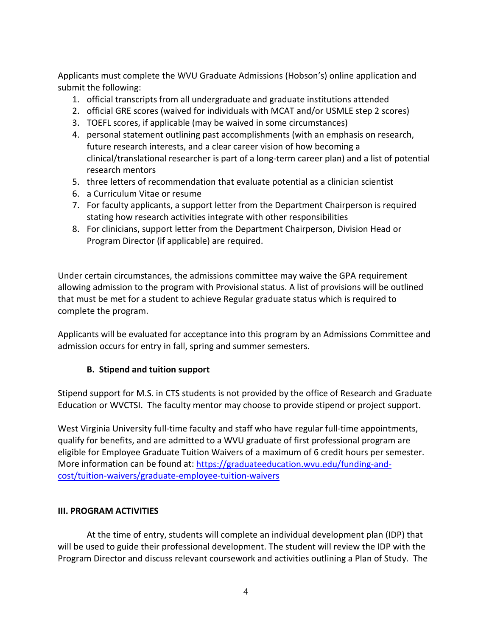Applicants must complete the WVU Graduate Admissions (Hobson's) online application and submit the following:

- 1. official transcripts from all undergraduate and graduate institutions attended
- 2. official GRE scores (waived for individuals with MCAT and/or USMLE step 2 scores)
- 3. TOEFL scores, if applicable (may be waived in some circumstances)
- 4. personal statement outlining past accomplishments (with an emphasis on research, future research interests, and a clear career vision of how becoming a clinical/translational researcher is part of a long-term career plan) and a list of potential research mentors
- 5. three letters of recommendation that evaluate potential as a clinician scientist
- 6. a Curriculum Vitae or resume
- 7. For faculty applicants, a support letter from the Department Chairperson is required stating how research activities integrate with other responsibilities
- 8. For clinicians, support letter from the Department Chairperson, Division Head or Program Director (if applicable) are required.

Under certain circumstances, the admissions committee may waive the GPA requirement allowing admission to the program with Provisional status. A list of provisions will be outlined that must be met for a student to achieve Regular graduate status which is required to complete the program.

Applicants will be evaluated for acceptance into this program by an Admissions Committee and admission occurs for entry in fall, spring and summer semesters.

## **B. Stipend and tuition support**

Stipend support for M.S. in CTS students is not provided by the office of Research and Graduate Education or WVCTSI. The faculty mentor may choose to provide stipend or project support.

West Virginia University full-time faculty and staff who have regular full-time appointments, qualify for benefits, and are admitted to a WVU graduate of first professional program are eligible for Employee Graduate Tuition Waivers of a maximum of 6 credit hours per semester. More information can be found at: [https://graduateeducation.wvu.edu/funding-and](https://graduateeducation.wvu.edu/funding-and-cost/tuition-waivers/graduate-employee-tuition-waivers)[cost/tuition-waivers/graduate-employee-tuition-waivers](https://graduateeducation.wvu.edu/funding-and-cost/tuition-waivers/graduate-employee-tuition-waivers)

## **III. PROGRAM ACTIVITIES**

At the time of entry, students will complete an individual development plan (IDP) that will be used to guide their professional development. The student will review the IDP with the Program Director and discuss relevant coursework and activities outlining a Plan of Study. The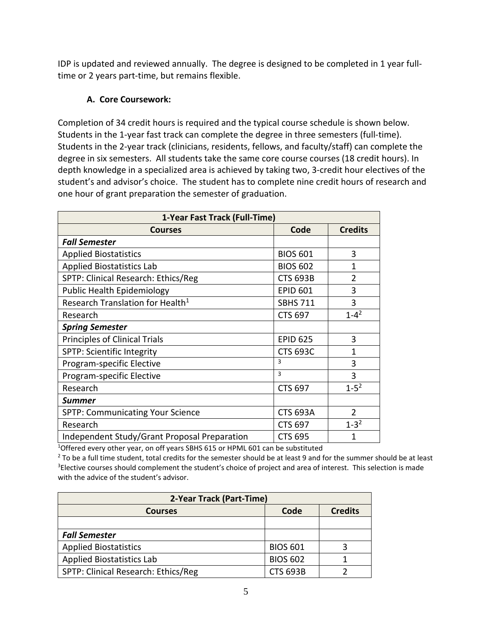IDP is updated and reviewed annually. The degree is designed to be completed in 1 year fulltime or 2 years part-time, but remains flexible.

## **A. Core Coursework:**

Completion of 34 credit hours is required and the typical course schedule is shown below. Students in the 1-year fast track can complete the degree in three semesters (full-time). Students in the 2-year track (clinicians, residents, fellows, and faculty/staff) can complete the degree in six semesters. All students take the same core course courses (18 credit hours). In depth knowledge in a specialized area is achieved by taking two, 3-credit hour electives of the student's and advisor's choice. The student has to complete nine credit hours of research and one hour of grant preparation the semester of graduation.

| 1-Year Fast Track (Full-Time)                |                 |                |  |  |
|----------------------------------------------|-----------------|----------------|--|--|
| <b>Courses</b>                               | Code            | <b>Credits</b> |  |  |
| <b>Fall Semester</b>                         |                 |                |  |  |
| <b>Applied Biostatistics</b>                 | <b>BIOS 601</b> | 3              |  |  |
| <b>Applied Biostatistics Lab</b>             | <b>BIOS 602</b> | $\mathbf{1}$   |  |  |
| SPTP: Clinical Research: Ethics/Reg          | <b>CTS 693B</b> | $\overline{2}$ |  |  |
| <b>Public Health Epidemiology</b>            | <b>EPID 601</b> | 3              |  |  |
| Research Translation for Health <sup>1</sup> | <b>SBHS 711</b> | 3              |  |  |
| Research                                     | <b>CTS 697</b>  | $1 - 4^2$      |  |  |
| <b>Spring Semester</b>                       |                 |                |  |  |
| <b>Principles of Clinical Trials</b>         | <b>EPID 625</b> | 3              |  |  |
| <b>SPTP: Scientific Integrity</b>            | <b>CTS 693C</b> | $\mathbf{1}$   |  |  |
| Program-specific Elective                    | 3               | 3              |  |  |
| Program-specific Elective                    | 3               | 3              |  |  |
| Research                                     | <b>CTS 697</b>  | $1 - 5^2$      |  |  |
| <b>Summer</b>                                |                 |                |  |  |
| <b>SPTP: Communicating Your Science</b>      | <b>CTS 693A</b> | $\overline{2}$ |  |  |
| Research                                     | <b>CTS 697</b>  | $1 - 3^2$      |  |  |
| Independent Study/Grant Proposal Preparation | <b>CTS 695</b>  | 1              |  |  |

<sup>1</sup>Offered every other year, on off years SBHS 615 or HPML 601 can be substituted

 $2$  To be a full time student, total credits for the semester should be at least 9 and for the summer should be at least <sup>3</sup>Elective courses should complement the student's choice of project and area of interest. This selection is made with the advice of the student's advisor.

| 2-Year Track (Part-Time)                 |                 |  |  |  |
|------------------------------------------|-----------------|--|--|--|
| Code<br><b>Credits</b><br><b>Courses</b> |                 |  |  |  |
|                                          |                 |  |  |  |
| <b>Fall Semester</b>                     |                 |  |  |  |
| <b>Applied Biostatistics</b>             | <b>BIOS 601</b> |  |  |  |
| <b>Applied Biostatistics Lab</b>         | <b>BIOS 602</b> |  |  |  |
| SPTP: Clinical Research: Ethics/Reg      | <b>CTS 693B</b> |  |  |  |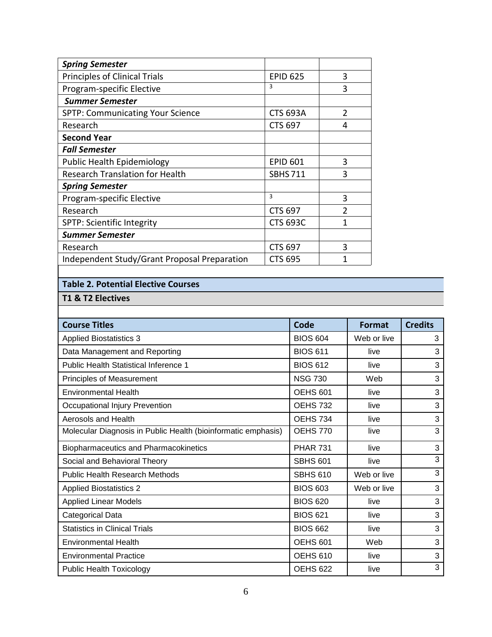| <b>Spring Semester</b>                       |                 |                |
|----------------------------------------------|-----------------|----------------|
| <b>Principles of Clinical Trials</b>         | <b>EPID 625</b> | 3              |
| Program-specific Elective                    | 3               | 3              |
| <b>Summer Semester</b>                       |                 |                |
| <b>SPTP: Communicating Your Science</b>      | <b>CTS 693A</b> | $\overline{2}$ |
| Research                                     | <b>CTS 697</b>  | 4              |
| <b>Second Year</b>                           |                 |                |
| <b>Fall Semester</b>                         |                 |                |
| <b>Public Health Epidemiology</b>            | <b>EPID 601</b> | 3              |
| <b>Research Translation for Health</b>       | <b>SBHS 711</b> | 3              |
| <b>Spring Semester</b>                       |                 |                |
| Program-specific Elective                    | 3               | 3              |
| Research                                     | <b>CTS 697</b>  | $\mathfrak{p}$ |
| <b>SPTP: Scientific Integrity</b>            | <b>CTS 693C</b> | 1              |
| <b>Summer Semester</b>                       |                 |                |
| Research                                     | <b>CTS 697</b>  | 3              |
| Independent Study/Grant Proposal Preparation | <b>CTS 695</b>  | 1              |

## **Table 2. Potential Elective Courses**

## **T1 & T2 Electives**

| <b>Course Titles</b>                                          | Code            | <b>Format</b> | <b>Credits</b> |
|---------------------------------------------------------------|-----------------|---------------|----------------|
| <b>Applied Biostatistics 3</b>                                | <b>BIOS 604</b> | Web or live   | 3              |
| Data Management and Reporting                                 | <b>BIOS 611</b> | live          | 3              |
| <b>Public Health Statistical Inference 1</b>                  | <b>BIOS 612</b> | live          | 3              |
| <b>Principles of Measurement</b>                              | <b>NSG 730</b>  | Web           | 3              |
| <b>Environmental Health</b>                                   | OEHS 601        | live          | 3              |
| Occupational Injury Prevention                                | <b>OEHS 732</b> | live          | 3              |
| Aerosols and Health                                           | OEHS 734        | live          | 3              |
| Molecular Diagnosis in Public Health (bioinformatic emphasis) | <b>OEHS 770</b> | live          | 3              |
| Biopharmaceutics and Pharmacokinetics                         | <b>PHAR 731</b> | live          | 3              |
| Social and Behavioral Theory                                  | <b>SBHS 601</b> | live          | 3              |
| <b>Public Health Research Methods</b>                         | <b>SBHS 610</b> | Web or live   | 3              |
| <b>Applied Biostatistics 2</b>                                | <b>BIOS 603</b> | Web or live   | 3              |
| <b>Applied Linear Models</b>                                  | <b>BIOS 620</b> | live          | 3              |
| Categorical Data                                              | <b>BIOS 621</b> | live          | 3              |
| <b>Statistics in Clinical Trials</b>                          | <b>BIOS 662</b> | live          | 3              |
| <b>Environmental Health</b>                                   | <b>OEHS 601</b> | Web           | 3              |
| <b>Environmental Practice</b>                                 | <b>OEHS 610</b> | live          | 3              |
| <b>Public Health Toxicology</b>                               | <b>OEHS 622</b> | live          | 3              |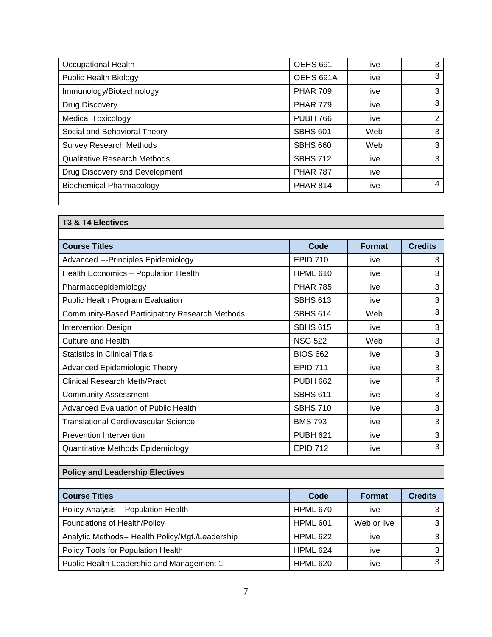| Occupational Health                 | OEHS <sub>691</sub> | live | 3              |
|-------------------------------------|---------------------|------|----------------|
| <b>Public Health Biology</b>        | OEHS 691A           | live | 3              |
| Immunology/Biotechnology            | <b>PHAR 709</b>     | live | 3              |
| Drug Discovery                      | <b>PHAR 779</b>     | live | 3              |
| <b>Medical Toxicology</b>           | <b>PUBH 766</b>     | live | $\overline{2}$ |
| Social and Behavioral Theory        | <b>SBHS 601</b>     | Web  | 3              |
| <b>Survey Research Methods</b>      | <b>SBHS 660</b>     | Web  | 3              |
| <b>Qualitative Research Methods</b> | <b>SBHS 712</b>     | live | 3              |
| Drug Discovery and Development      | <b>PHAR 787</b>     | live |                |
| <b>Biochemical Pharmacology</b>     | <b>PHAR 814</b>     | live | 4              |
|                                     |                     |      |                |

| <b>T3 &amp; T4 Electives</b>                          |                 |        |                |  |
|-------------------------------------------------------|-----------------|--------|----------------|--|
| <b>Course Titles</b>                                  | Code            | Format | <b>Credits</b> |  |
| Advanced --- Principles Epidemiology                  | <b>EPID 710</b> | live   | 3              |  |
| Health Economics - Population Health                  | <b>HPML 610</b> | live   | 3              |  |
| Pharmacoepidemiology                                  | <b>PHAR 785</b> | live   | 3              |  |
| Public Health Program Evaluation                      | <b>SBHS 613</b> | live   | 3              |  |
| <b>Community-Based Participatory Research Methods</b> | <b>SBHS 614</b> | Web    | 3              |  |
| <b>Intervention Design</b>                            | <b>SBHS 615</b> | live   | 3              |  |
| <b>Culture and Health</b>                             | <b>NSG 522</b>  | Web    | 3              |  |
| <b>Statistics in Clinical Trials</b>                  | <b>BIOS 662</b> | live   | 3              |  |
| Advanced Epidemiologic Theory                         | <b>EPID 711</b> | live   | 3              |  |
| <b>Clinical Research Meth/Pract</b>                   | <b>PUBH 662</b> | live   | 3              |  |
| <b>Community Assessment</b>                           | <b>SBHS 611</b> | live   | 3              |  |
| Advanced Evaluation of Public Health                  | <b>SBHS 710</b> | live   | 3              |  |
| <b>Translational Cardiovascular Science</b>           | <b>BMS 793</b>  | live   | 3              |  |
| <b>Prevention Intervention</b>                        | <b>PUBH 621</b> | live   | 3              |  |
| Quantitative Methods Epidemiology                     | <b>EPID 712</b> | live   | 3              |  |

## **Policy and Leadership Electives**

| <b>Course Titles</b>                             | Code            | <b>Format</b> | <b>Credits</b> |
|--------------------------------------------------|-----------------|---------------|----------------|
| Policy Analysis - Population Health              | HPML 670        | live          |                |
| Foundations of Health/Policy                     | HPML 601        | Web or live   |                |
| Analytic Methods-- Health Policy/Mgt./Leadership | <b>HPML 622</b> | live          |                |
| Policy Tools for Population Health               | <b>HPML 624</b> | live          |                |
| Public Health Leadership and Management 1        | <b>HPML 620</b> | live          | ◠              |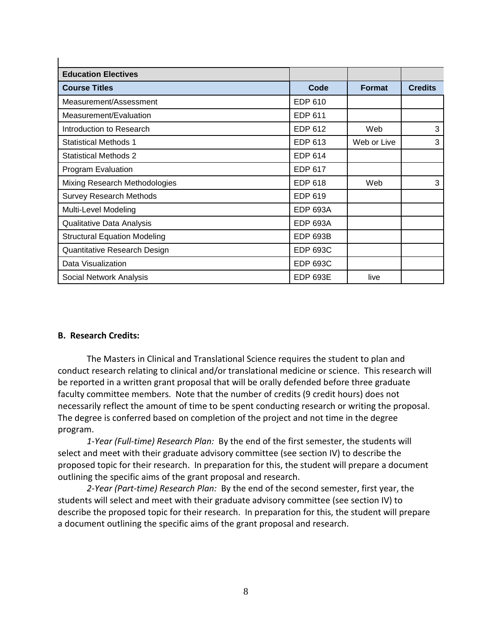| <b>Education Electives</b>          |                 |               |                |
|-------------------------------------|-----------------|---------------|----------------|
| <b>Course Titles</b>                | Code            | <b>Format</b> | <b>Credits</b> |
| Measurement/Assessment              | EDP 610         |               |                |
| Measurement/Evaluation              | EDP 611         |               |                |
| Introduction to Research            | EDP 612         | Web           | 3              |
| <b>Statistical Methods 1</b>        | EDP 613         | Web or Live   | 3              |
| <b>Statistical Methods 2</b>        | EDP 614         |               |                |
| Program Evaluation                  | <b>EDP 617</b>  |               |                |
| Mixing Research Methodologies       | <b>EDP 618</b>  | Web           | 3              |
| <b>Survey Research Methods</b>      | EDP 619         |               |                |
| Multi-Level Modeling                | <b>EDP 693A</b> |               |                |
| Qualitative Data Analysis           | <b>EDP 693A</b> |               |                |
| <b>Structural Equation Modeling</b> | <b>EDP 693B</b> |               |                |
| Quantitative Research Design        | <b>EDP 693C</b> |               |                |
| Data Visualization                  | <b>EDP 693C</b> |               |                |
| Social Network Analysis             | <b>EDP 693E</b> | live          |                |

#### **B. Research Credits:**

 $\mathbf{I}$ 

The Masters in Clinical and Translational Science requires the student to plan and conduct research relating to clinical and/or translational medicine or science. This research will be reported in a written grant proposal that will be orally defended before three graduate faculty committee members. Note that the number of credits (9 credit hours) does not necessarily reflect the amount of time to be spent conducting research or writing the proposal. The degree is conferred based on completion of the project and not time in the degree program.

*1-Year (Full-time) Research Plan:* By the end of the first semester, the students will select and meet with their graduate advisory committee (see section IV) to describe the proposed topic for their research. In preparation for this, the student will prepare a document outlining the specific aims of the grant proposal and research.

*2-Year (Part-time) Research Plan:* By the end of the second semester, first year, the students will select and meet with their graduate advisory committee (see section IV) to describe the proposed topic for their research. In preparation for this, the student will prepare a document outlining the specific aims of the grant proposal and research.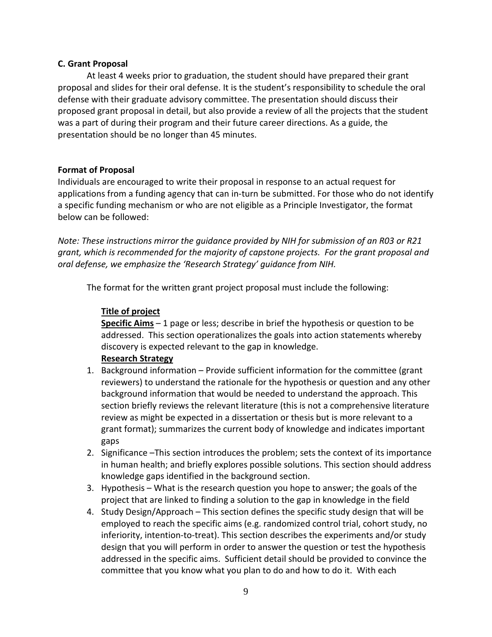#### **C. Grant Proposal**

At least 4 weeks prior to graduation, the student should have prepared their grant proposal and slides for their oral defense. It is the student's responsibility to schedule the oral defense with their graduate advisory committee. The presentation should discuss their proposed grant proposal in detail, but also provide a review of all the projects that the student was a part of during their program and their future career directions. As a guide, the presentation should be no longer than 45 minutes.

#### **Format of Proposal**

Individuals are encouraged to write their proposal in response to an actual request for applications from a funding agency that can in-turn be submitted. For those who do not identify a specific funding mechanism or who are not eligible as a Principle Investigator, the format below can be followed:

*Note: These instructions mirror the guidance provided by NIH for submission of an R03 or R21 grant, which is recommended for the majority of capstone projects. For the grant proposal and oral defense, we emphasize the 'Research Strategy' guidance from NIH.*

The format for the written grant project proposal must include the following:

#### **Title of project**

**Specific Aims** – 1 page or less; describe in brief the hypothesis or question to be addressed. This section operationalizes the goals into action statements whereby discovery is expected relevant to the gap in knowledge.

#### **Research Strategy**

- 1. Background information Provide sufficient information for the committee (grant reviewers) to understand the rationale for the hypothesis or question and any other background information that would be needed to understand the approach. This section briefly reviews the relevant literature (this is not a comprehensive literature review as might be expected in a dissertation or thesis but is more relevant to a grant format); summarizes the current body of knowledge and indicates important gaps
- 2. Significance –This section introduces the problem; sets the context of its importance in human health; and briefly explores possible solutions. This section should address knowledge gaps identified in the background section.
- 3. Hypothesis What is the research question you hope to answer; the goals of the project that are linked to finding a solution to the gap in knowledge in the field
- 4. Study Design/Approach This section defines the specific study design that will be employed to reach the specific aims (e.g. randomized control trial, cohort study, no inferiority, intention-to-treat). This section describes the experiments and/or study design that you will perform in order to answer the question or test the hypothesis addressed in the specific aims. Sufficient detail should be provided to convince the committee that you know what you plan to do and how to do it. With each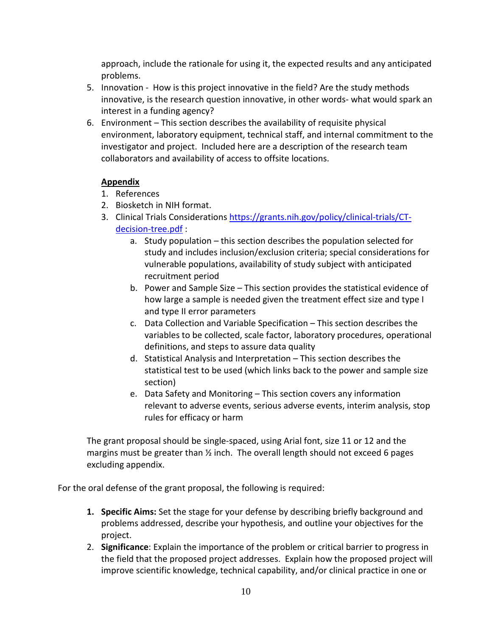approach, include the rationale for using it, the expected results and any anticipated problems.

- 5. Innovation How is this project innovative in the field? Are the study methods innovative, is the research question innovative, in other words- what would spark an interest in a funding agency?
- 6. Environment This section describes the availability of requisite physical environment, laboratory equipment, technical staff, and internal commitment to the investigator and project. Included here are a description of the research team collaborators and availability of access to offsite locations.

## **Appendix**

- 1. References
- 2. Biosketch in NIH format.
- 3. Clinical Trials Considerations [https://grants.nih.gov/policy/clinical-trials/CT](https://grants.nih.gov/policy/clinical-trials/CT-decision-tree.pdf)[decision-tree.pdf](https://grants.nih.gov/policy/clinical-trials/CT-decision-tree.pdf) :
	- a. Study population this section describes the population selected for study and includes inclusion/exclusion criteria; special considerations for vulnerable populations, availability of study subject with anticipated recruitment period
	- b. Power and Sample Size This section provides the statistical evidence of how large a sample is needed given the treatment effect size and type I and type II error parameters
	- c. Data Collection and Variable Specification This section describes the variables to be collected, scale factor, laboratory procedures, operational definitions, and steps to assure data quality
	- d. Statistical Analysis and Interpretation This section describes the statistical test to be used (which links back to the power and sample size section)
	- e. Data Safety and Monitoring This section covers any information relevant to adverse events, serious adverse events, interim analysis, stop rules for efficacy or harm

The grant proposal should be single-spaced, using Arial font, size 11 or 12 and the margins must be greater than  $\frac{1}{2}$  inch. The overall length should not exceed 6 pages excluding appendix.

For the oral defense of the grant proposal, the following is required:

- **1. Specific Aims:** Set the stage for your defense by describing briefly background and problems addressed, describe your hypothesis, and outline your objectives for the project.
- 2. **Significance**: Explain the importance of the problem or critical barrier to progress in the field that the proposed project addresses. Explain how the proposed project will improve scientific knowledge, technical capability, and/or clinical practice in one or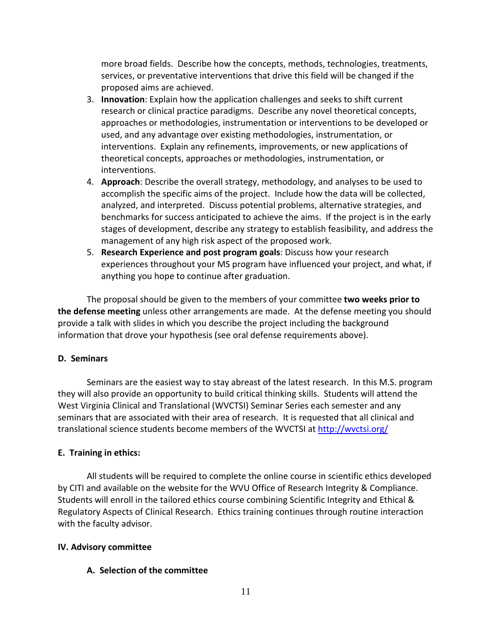more broad fields. Describe how the concepts, methods, technologies, treatments, services, or preventative interventions that drive this field will be changed if the proposed aims are achieved.

- 3. **Innovation**: Explain how the application challenges and seeks to shift current research or clinical practice paradigms. Describe any novel theoretical concepts, approaches or methodologies, instrumentation or interventions to be developed or used, and any advantage over existing methodologies, instrumentation, or interventions. Explain any refinements, improvements, or new applications of theoretical concepts, approaches or methodologies, instrumentation, or interventions.
- 4. **Approach**: Describe the overall strategy, methodology, and analyses to be used to accomplish the specific aims of the project. Include how the data will be collected, analyzed, and interpreted. Discuss potential problems, alternative strategies, and benchmarks for success anticipated to achieve the aims. If the project is in the early stages of development, describe any strategy to establish feasibility, and address the management of any high risk aspect of the proposed work.
- 5. **Research Experience and post program goals**: Discuss how your research experiences throughout your MS program have influenced your project, and what, if anything you hope to continue after graduation.

The proposal should be given to the members of your committee **two weeks prior to the defense meeting** unless other arrangements are made. At the defense meeting you should provide a talk with slides in which you describe the project including the background information that drove your hypothesis (see oral defense requirements above).

#### **D. Seminars**

Seminars are the easiest way to stay abreast of the latest research. In this M.S. program they will also provide an opportunity to build critical thinking skills. Students will attend the West Virginia Clinical and Translational (WVCTSI) Seminar Series each semester and any seminars that are associated with their area of research. It is requested that all clinical and translational science students become members of the WVCTSI at<http://wvctsi.org/>

## **E. Training in ethics:**

All students will be required to complete the online course in scientific ethics developed by CITI and available on the website for the WVU Office of Research Integrity & Compliance. Students will enroll in the tailored ethics course combining Scientific Integrity and Ethical & Regulatory Aspects of Clinical Research. Ethics training continues through routine interaction with the faculty advisor.

#### **IV. Advisory committee**

#### **A. Selection of the committee**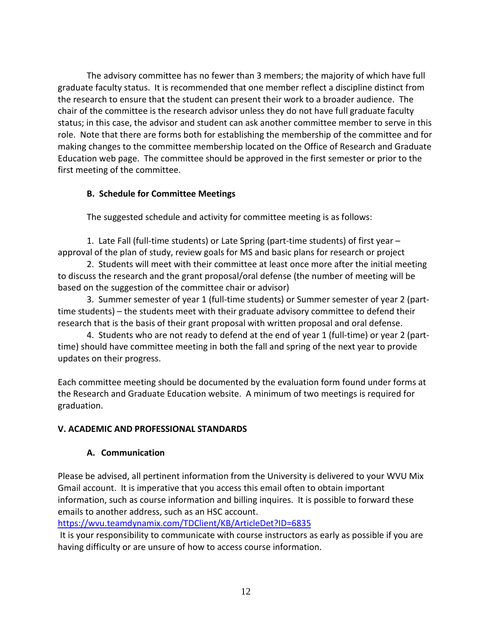The advisory committee has no fewer than 3 members; the majority of which have full graduate faculty status. It is recommended that one member reflect a discipline distinct from the research to ensure that the student can present their work to a broader audience. The chair of the committee is the research advisor unless they do not have full graduate faculty status; in this case, the advisor and student can ask another committee member to serve in this role. Note that there are forms both for establishing the membership of the committee and for making changes to the committee membership located on the Office of Research and Graduate Education web page. The committee should be approved in the first semester or prior to the first meeting of the committee.

## **B. Schedule for Committee Meetings**

The suggested schedule and activity for committee meeting is as follows:

1. Late Fall (full-time students) or Late Spring (part-time students) of first year – approval of the plan of study, review goals for MS and basic plans for research or project

2. Students will meet with their committee at least once more after the initial meeting to discuss the research and the grant proposal/oral defense (the number of meeting will be based on the suggestion of the committee chair or advisor)

3. Summer semester of year 1 (full-time students) or Summer semester of year 2 (parttime students) – the students meet with their graduate advisory committee to defend their research that is the basis of their grant proposal with written proposal and oral defense.

4. Students who are not ready to defend at the end of year 1 (full-time) or year 2 (parttime) should have committee meeting in both the fall and spring of the next year to provide updates on their progress.

Each committee meeting should be documented by the evaluation form found under forms at the Research and Graduate Education website. A minimum of two meetings is required for graduation.

## **V. ACADEMIC AND PROFESSIONAL STANDARDS**

## **A. Communication**

Please be advised, all pertinent information from the University is delivered to your WVU Mix Gmail account. It is imperative that you access this email often to obtain important information, such as course information and billing inquires. It is possible to forward these emails to another address, such as an HSC account.

<https://wvu.teamdynamix.com/TDClient/KB/ArticleDet?ID=6835>

It is your responsibility to communicate with course instructors as early as possible if you are having difficulty or are unsure of how to access course information.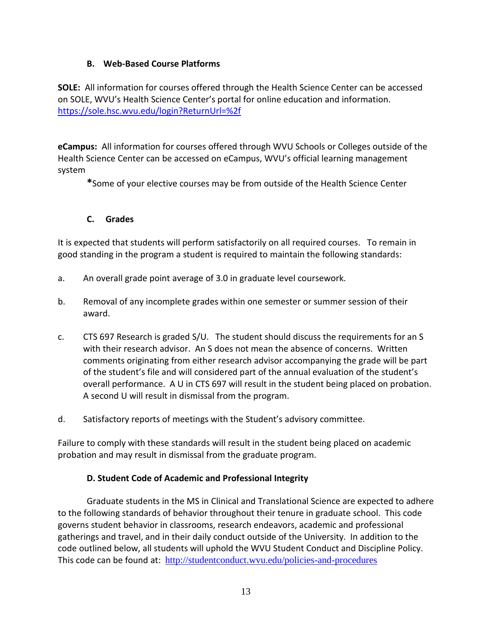## **B. Web-Based Course Platforms**

**SOLE:** All information for courses offered through the Health Science Center can be accessed on SOLE, WVU's Health Science Center's portal for online education and information. <https://sole.hsc.wvu.edu/login?ReturnUrl=%2f>

**eCampus:** All information for courses offered through WVU Schools or Colleges outside of the Health Science Center can be accessed on eCampus, WVU's official learning management system

**\***Some of your elective courses may be from outside of the Health Science Center

## **C. Grades**

It is expected that students will perform satisfactorily on all required courses. To remain in good standing in the program a student is required to maintain the following standards:

- a. An overall grade point average of 3.0 in graduate level coursework.
- b. Removal of any incomplete grades within one semester or summer session of their award.
- c. CTS 697 Research is graded S/U. The student should discuss the requirements for an S with their research advisor. An S does not mean the absence of concerns. Written comments originating from either research advisor accompanying the grade will be part of the student's file and will considered part of the annual evaluation of the student's overall performance. A U in CTS 697 will result in the student being placed on probation. A second U will result in dismissal from the program.
- d. Satisfactory reports of meetings with the Student's advisory committee.

Failure to comply with these standards will result in the student being placed on academic probation and may result in dismissal from the graduate program.

## **D. Student Code of Academic and Professional Integrity**

Graduate students in the MS in Clinical and Translational Science are expected to adhere to the following standards of behavior throughout their tenure in graduate school. This code governs student behavior in classrooms, research endeavors, academic and professional gatherings and travel, and in their daily conduct outside of the University. In addition to the code outlined below, all students will uphold the WVU Student Conduct and Discipline Policy. This code can be found at: <http://studentconduct.wvu.edu/policies-and-procedures>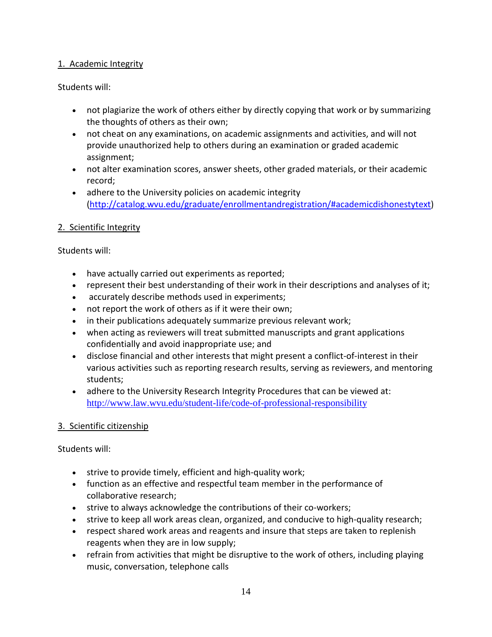## 1. Academic Integrity

## Students will:

- not plagiarize the work of others either by directly copying that work or by summarizing the thoughts of others as their own;
- not cheat on any examinations, on academic assignments and activities, and will not provide unauthorized help to others during an examination or graded academic assignment;
- not alter examination scores, answer sheets, other graded materials, or their academic record;
- adhere to the University policies on academic integrity [\(http://catalog.wvu.edu/graduate/enrollmentandregistration/#academicdishonestytext\)](http://catalog.wvu.edu/graduate/enrollmentandregistration/#academicdishonestytext)

## 2. Scientific Integrity

## Students will:

- have actually carried out experiments as reported;
- represent their best understanding of their work in their descriptions and analyses of it;
- accurately describe methods used in experiments;
- not report the work of others as if it were their own;
- in their publications adequately summarize previous relevant work;
- when acting as reviewers will treat submitted manuscripts and grant applications confidentially and avoid inappropriate use; and
- disclose financial and other interests that might present a conflict-of-interest in their various activities such as reporting research results, serving as reviewers, and mentoring students;
- adhere to the University Research Integrity Procedures that can be viewed at: <http://www.law.wvu.edu/student-life/code-of-professional-responsibility>

## 3. Scientific citizenship

Students will:

- strive to provide timely, efficient and high-quality work;
- function as an effective and respectful team member in the performance of collaborative research;
- strive to always acknowledge the contributions of their co-workers;
- strive to keep all work areas clean, organized, and conducive to high-quality research;
- respect shared work areas and reagents and insure that steps are taken to replenish reagents when they are in low supply;
- refrain from activities that might be disruptive to the work of others, including playing music, conversation, telephone calls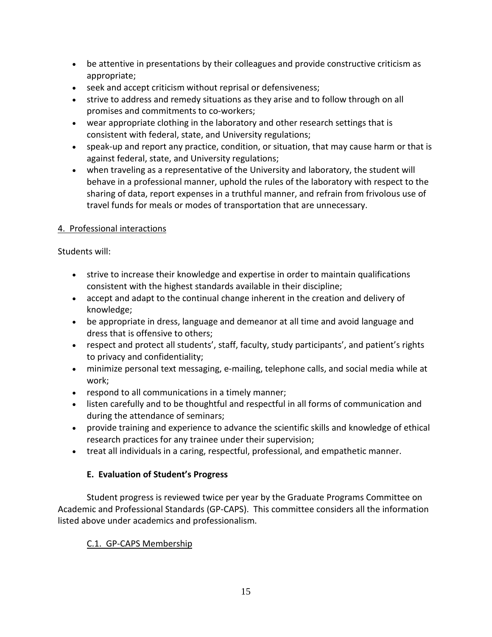- be attentive in presentations by their colleagues and provide constructive criticism as appropriate;
- seek and accept criticism without reprisal or defensiveness;
- strive to address and remedy situations as they arise and to follow through on all promises and commitments to co-workers;
- wear appropriate clothing in the laboratory and other research settings that is consistent with federal, state, and University regulations;
- speak-up and report any practice, condition, or situation, that may cause harm or that is against federal, state, and University regulations;
- when traveling as a representative of the University and laboratory, the student will behave in a professional manner, uphold the rules of the laboratory with respect to the sharing of data, report expenses in a truthful manner, and refrain from frivolous use of travel funds for meals or modes of transportation that are unnecessary.

## 4. Professional interactions

Students will:

- strive to increase their knowledge and expertise in order to maintain qualifications consistent with the highest standards available in their discipline;
- accept and adapt to the continual change inherent in the creation and delivery of knowledge;
- be appropriate in dress, language and demeanor at all time and avoid language and dress that is offensive to others;
- respect and protect all students', staff, faculty, study participants', and patient's rights to privacy and confidentiality;
- minimize personal text messaging, e-mailing, telephone calls, and social media while at work;
- respond to all communications in a timely manner;
- listen carefully and to be thoughtful and respectful in all forms of communication and during the attendance of seminars;
- provide training and experience to advance the scientific skills and knowledge of ethical research practices for any trainee under their supervision;
- treat all individuals in a caring, respectful, professional, and empathetic manner.

## **E. Evaluation of Student's Progress**

Student progress is reviewed twice per year by the Graduate Programs Committee on Academic and Professional Standards (GP-CAPS). This committee considers all the information listed above under academics and professionalism.

## C.1. GP-CAPS Membership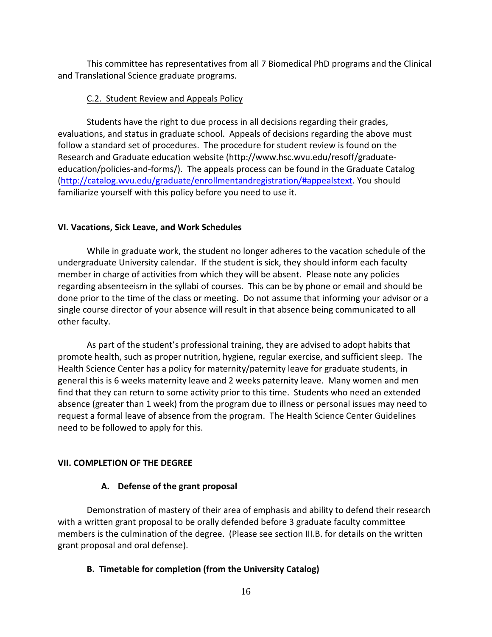This committee has representatives from all 7 Biomedical PhD programs and the Clinical and Translational Science graduate programs.

## C.2. Student Review and Appeals Policy

Students have the right to due process in all decisions regarding their grades, evaluations, and status in graduate school. Appeals of decisions regarding the above must follow a standard set of procedures. The procedure for student review is found on the Research and Graduate education website (http://www.hsc.wvu.edu/resoff/graduateeducation/policies-and-forms/). The appeals process can be found in the Graduate Catalog [\(http://catalog.wvu.edu/graduate/enrollmentandregistration/#appealstext.](http://catalog.wvu.edu/graduate/enrollmentandregistration/#appealstext) You should familiarize yourself with this policy before you need to use it.

#### **VI. Vacations, Sick Leave, and Work Schedules**

While in graduate work, the student no longer adheres to the vacation schedule of the undergraduate University calendar. If the student is sick, they should inform each faculty member in charge of activities from which they will be absent. Please note any policies regarding absenteeism in the syllabi of courses. This can be by phone or email and should be done prior to the time of the class or meeting. Do not assume that informing your advisor or a single course director of your absence will result in that absence being communicated to all other faculty.

As part of the student's professional training, they are advised to adopt habits that promote health, such as proper nutrition, hygiene, regular exercise, and sufficient sleep. The Health Science Center has a policy for maternity/paternity leave for graduate students, in general this is 6 weeks maternity leave and 2 weeks paternity leave. Many women and men find that they can return to some activity prior to this time. Students who need an extended absence (greater than 1 week) from the program due to illness or personal issues may need to request a formal leave of absence from the program. The Health Science Center Guidelines need to be followed to apply for this.

## **VII. COMPLETION OF THE DEGREE**

## **A. Defense of the grant proposal**

Demonstration of mastery of their area of emphasis and ability to defend their research with a written grant proposal to be orally defended before 3 graduate faculty committee members is the culmination of the degree. (Please see section III.B. for details on the written grant proposal and oral defense).

## **B. Timetable for completion (from the University Catalog)**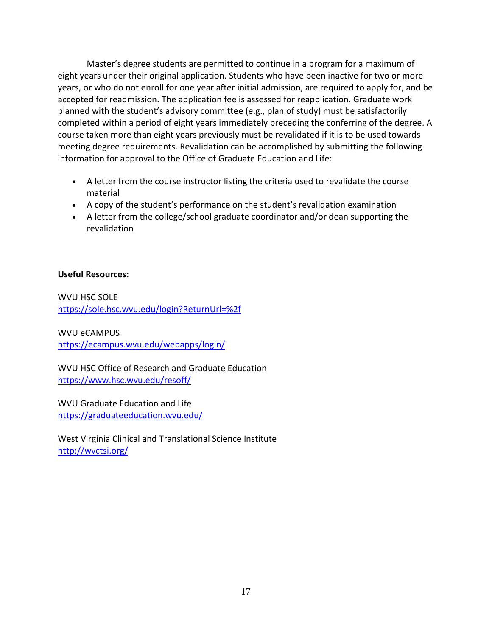Master's degree students are permitted to continue in a program for a maximum of eight years under their original application. Students who have been inactive for two or more years, or who do not enroll for one year after initial admission, are required to apply for, and be accepted for readmission. The application fee is assessed for reapplication. Graduate work planned with the student's advisory committee (e.g., plan of study) must be satisfactorily completed within a period of eight years immediately preceding the conferring of the degree. A course taken more than eight years previously must be revalidated if it is to be used towards meeting degree requirements. Revalidation can be accomplished by submitting the following information for approval to the Office of Graduate Education and Life:

- A letter from the course instructor listing the criteria used to revalidate the course material
- A copy of the student's performance on the student's revalidation examination
- A letter from the college/school graduate coordinator and/or dean supporting the revalidation

## **Useful Resources:**

WVU HSC SOLE <https://sole.hsc.wvu.edu/login?ReturnUrl=%2f>

WVU eCAMPUS <https://ecampus.wvu.edu/webapps/login/>

WVU HSC Office of Research and Graduate Education <https://www.hsc.wvu.edu/resoff/>

WVU Graduate Education and Life <https://graduateeducation.wvu.edu/>

West Virginia Clinical and Translational Science Institute <http://wvctsi.org/>